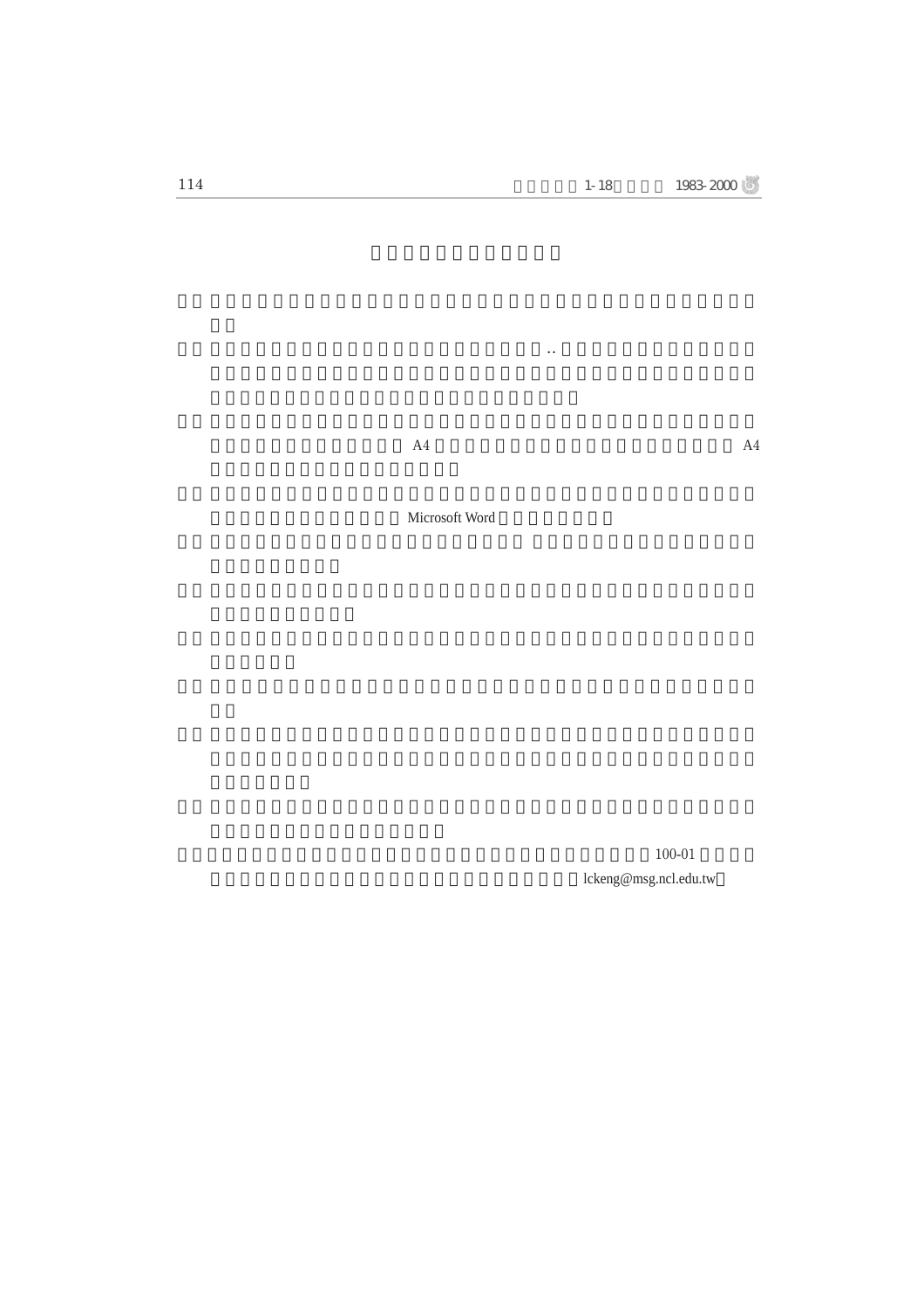$A4$ 

Microsoft Word

 $100-01$ lckeng@msg.ncl.edu.tw